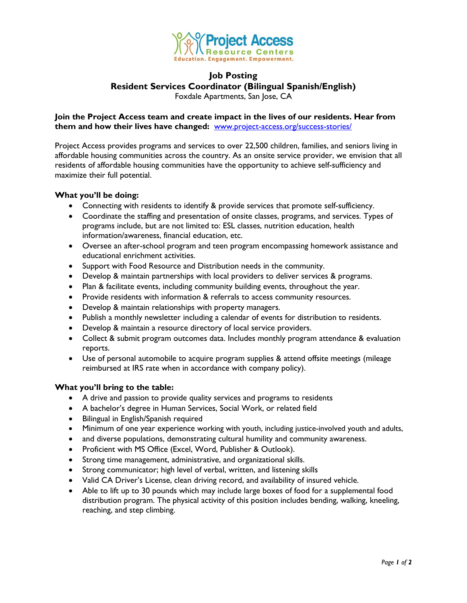

# **Job Posting Resident Services Coordinator (Bilingual Spanish/English)** Foxdale Apartments, San Jose, CA

### **Join the Project Access team and create impact in the lives of our residents. Hear from them and how their lives have changed:** [www.project-access.org/success-stories/](http://www.project-access.org/success-stories/)

Project Access provides programs and services to over 22,500 children, families, and seniors living in affordable housing communities across the country. As an onsite service provider, we envision that all residents of affordable housing communities have the opportunity to achieve self-sufficiency and maximize their full potential.

### **What you'll be doing:**

- Connecting with residents to identify & provide services that promote self-sufficiency.
- Coordinate the staffing and presentation of onsite classes, programs, and services. Types of programs include, but are not limited to: ESL classes, nutrition education, health information/awareness, financial education, etc.
- Oversee an after-school program and teen program encompassing homework assistance and educational enrichment activities.
- Support with Food Resource and Distribution needs in the community.
- Develop & maintain partnerships with local providers to deliver services & programs.
- Plan & facilitate events, including community building events, throughout the year.
- Provide residents with information & referrals to access community resources.
- Develop & maintain relationships with property managers.
- Publish a monthly newsletter including a calendar of events for distribution to residents.
- Develop & maintain a resource directory of local service providers.
- Collect & submit program outcomes data. Includes monthly program attendance & evaluation reports.
- Use of personal automobile to acquire program supplies & attend offsite meetings (mileage reimbursed at IRS rate when in accordance with company policy).

### **What you'll bring to the table:**

- A drive and passion to provide quality services and programs to residents
- A bachelor's degree in Human Services, Social Work, or related field
- Bilingual in English/Spanish required
- Minimum of one year experience working with youth, including justice-involved youth and adults,
- and diverse populations, demonstrating cultural humility and community awareness.
- Proficient with MS Office (Excel, Word, Publisher & Outlook).
- Strong time management, administrative, and organizational skills.
- Strong communicator; high level of verbal, written, and listening skills
- Valid CA Driver's License, clean driving record, and availability of insured vehicle.
- Able to lift up to 30 pounds which may include large boxes of food for a supplemental food distribution program. The physical activity of this position includes bending, walking, kneeling, reaching, and step climbing.